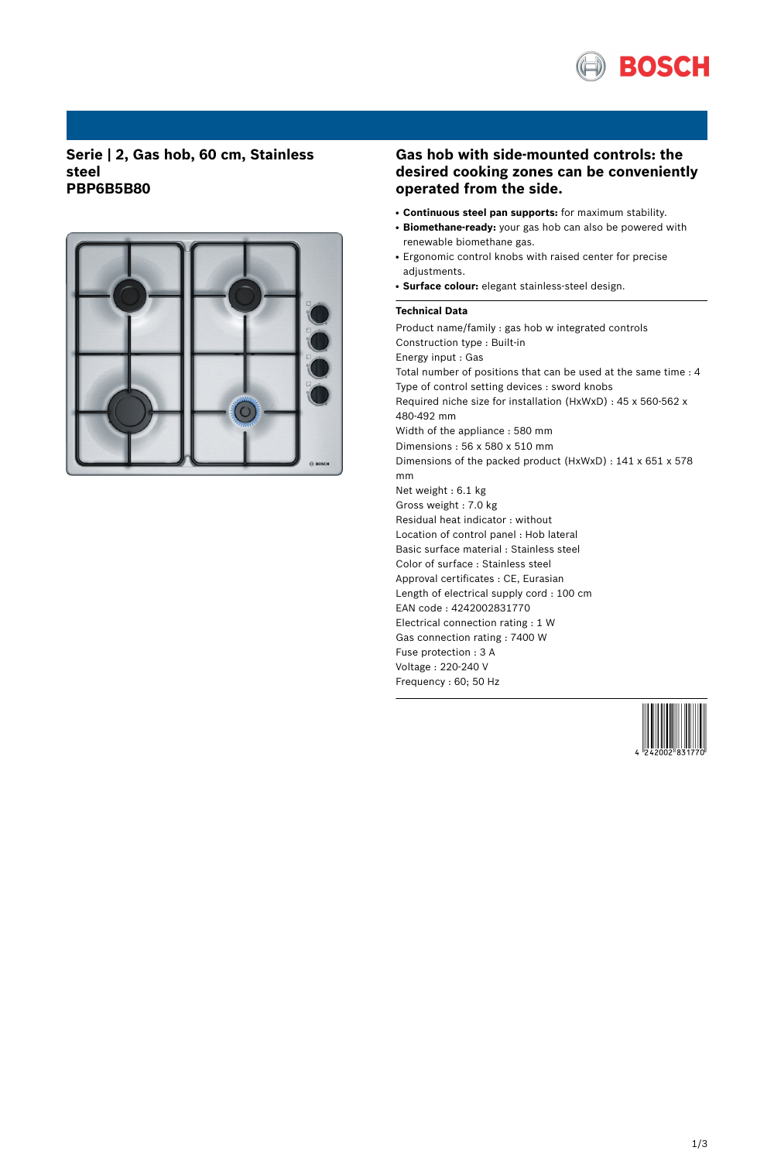

## **Serie | 2, Gas hob, 60 cm, Stainless steel PBP6B5B80**



# **Gas hob with side-mounted controls: the desired cooking zones can be conveniently operated from the side.**

- **Continuous steel pan supports:** for maximum stability.
- Biomethane-ready: your gas hob can also be powered with renewable biomethane gas.
- Ergonomic control knobs with raised center for precise adjustments.
- **Surface colour:** elegant stainless-steel design.

### **Technical Data**

Product name/family : gas hob w integrated controls Construction type : Built-in Energy input : Gas Total number of positions that can be used at the same time : 4 Type of control setting devices : sword knobs Required niche size for installation (HxWxD) : 45 x 560-562 x 480-492 mm Width of the appliance : 580 mm Dimensions : 56 x 580 x 510 mm Dimensions of the packed product (HxWxD) : 141 x 651 x 578 mm Net weight : 6.1 kg Gross weight : 7.0 kg Residual heat indicator : without Location of control panel : Hob lateral Basic surface material : Stainless steel Color of surface : Stainless steel Approval certificates : CE, Eurasian Length of electrical supply cord : 100 cm EAN code : 4242002831770 Electrical connection rating : 1 W Gas connection rating : 7400 W Fuse protection : 3 A Voltage : 220-240 V Frequency : 60; 50 Hz

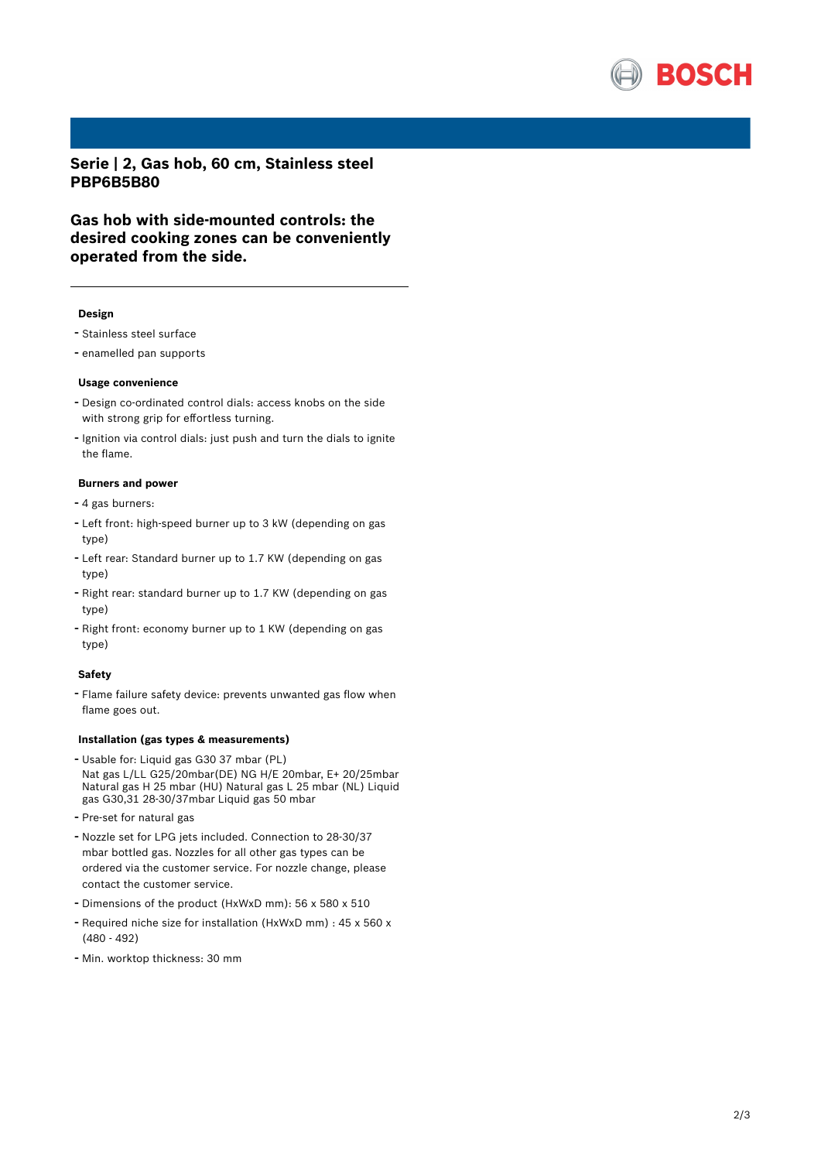

**Serie | 2, Gas hob, 60 cm, Stainless steel PBP6B5B80**

**Gas hob with side-mounted controls: the desired cooking zones can be conveniently operated from the side.**

#### **Design**

- Stainless steel surface
- enamelled pan supports

#### **Usage convenience**

- Design co-ordinated control dials: access knobs on the side with strong grip for effortless turning.
- Ignition via control dials: just push and turn the dials to ignite the flame.

### **Burners and power**

- <sup>4</sup> gas burners:
- Left front: high-speed burner up to <sup>3</sup> kW (depending on gas type)
- Left rear: Standard burner up to 1.7 KW (depending on gas type)
- Right rear: standard burner up to 1.7 KW (depending on gas type)
- Right front: economy burner up to <sup>1</sup> KW (depending on gas type)

#### **Safety**

- Flame failure safety device: prevents unwanted gas flow when flame goes out.

#### **Installation (gas types & measurements)**

- Usable for: Liquid gas G30 <sup>37</sup> mbar (PL) Nat gas L/LL G25/20mbar(DE) NG H/E 20mbar, E+ 20/25mbar Natural gas H 25 mbar (HU) Natural gas L 25 mbar (NL) Liquid gas G30,31 28-30/37mbar Liquid gas 50 mbar
- Pre-set for natural gas
- Nozzle set for LPG jets included. Connection to 28-30/37 mbar bottled gas. Nozzles for all other gas types can be ordered via the customer service. For nozzle change, please contact the customer service.
- Dimensions of the product (HxWxD mm): <sup>56</sup> <sup>x</sup> <sup>580</sup> <sup>x</sup> <sup>510</sup>
- Required niche size for installation (HxWxD mm) : <sup>45</sup> <sup>x</sup> <sup>560</sup> <sup>x</sup> (480 - 492)
- Min. worktop thickness: <sup>30</sup> mm